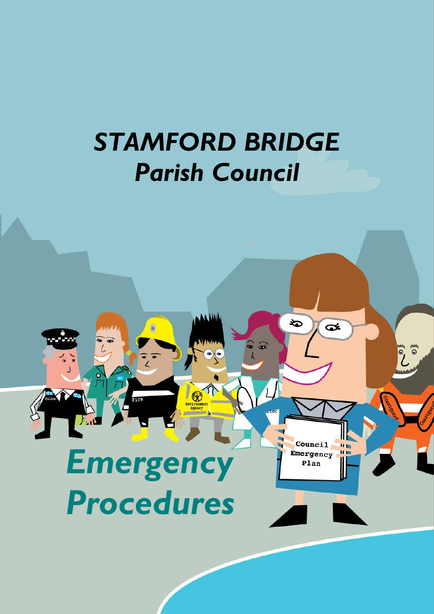## *STAMFORD BRIDGE Parish Council*

 $\sqrt{\frac{1}{2}}$ 

も

Council

Emergency Plan

 $\mathbf{u}$ 

 $\bullet$ 

 $\bf{Q}$ 

 $\delta$ 

# *Emergency Procedures*

 $\begin{matrix} \bullet \\ \bullet \end{matrix}$ 

Fire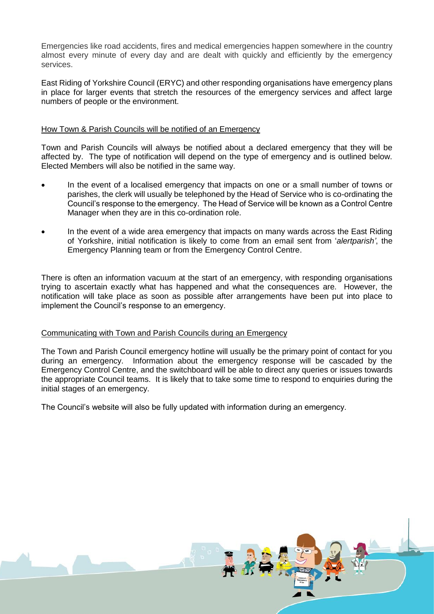Emergencies like road accidents, fires and medical emergencies happen somewhere in the country almost every minute of every day and are dealt with quickly and efficiently by the emergency services.

East Riding of Yorkshire Council (ERYC) and other responding organisations have emergency plans in place for larger events that stretch the resources of the emergency services and affect large numbers of people or the environment.

#### How Town & Parish Councils will be notified of an Emergency

Town and Parish Councils will always be notified about a declared emergency that they will be affected by. The type of notification will depend on the type of emergency and is outlined below. Elected Members will also be notified in the same way.

- In the event of a localised emergency that impacts on one or a small number of towns or parishes, the clerk will usually be telephoned by the Head of Service who is co-ordinating the Council's response to the emergency. The Head of Service will be known as a Control Centre Manager when they are in this co-ordination role.
- In the event of a wide area emergency that impacts on many wards across the East Riding of Yorkshire, initial notification is likely to come from an email sent from '*alertparish'*, the Emergency Planning team or from the Emergency Control Centre.

There is often an information vacuum at the start of an emergency, with responding organisations trying to ascertain exactly what has happened and what the consequences are. However, the notification will take place as soon as possible after arrangements have been put into place to implement the Council's response to an emergency.

#### Communicating with Town and Parish Councils during an Emergency

The Town and Parish Council emergency hotline will usually be the primary point of contact for you during an emergency. Information about the emergency response will be cascaded by the Emergency Control Centre, and the switchboard will be able to direct any queries or issues towards the appropriate Council teams. It is likely that to take some time to respond to enquiries during the initial stages of an emergency.

The Council's website will also be fully updated with information during an emergency.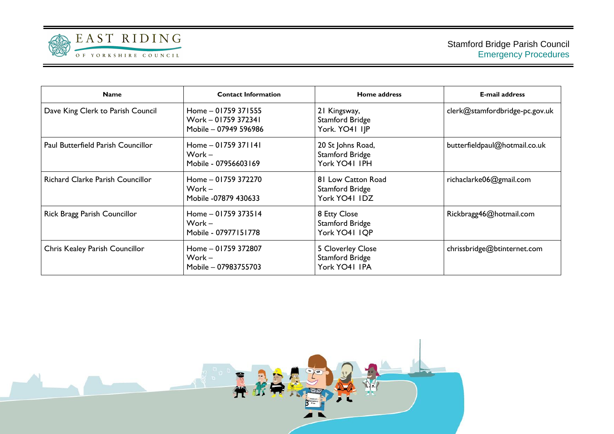

| <b>Name</b>                             | <b>Contact Information</b>                                          | Home address                                                  | <b>E-mail address</b>          |
|-----------------------------------------|---------------------------------------------------------------------|---------------------------------------------------------------|--------------------------------|
| Dave King Clerk to Parish Council       | Home - 01759 371555<br>Work - 01759 372341<br>Mobile - 07949 596986 | 21 Kingsway,<br><b>Stamford Bridge</b><br>York. YO41 IJP      | clerk@stamfordbridge-pc.gov.uk |
| Paul Butterfield Parish Councillor      | Home - 01759 371141<br>Work –<br>Mobile - 07956603169               | 20 St Johns Road,<br>Stamford Bridge<br>York YO41 IPH         | butterfieldpaul@hotmail.co.uk  |
| <b>Richard Clarke Parish Councillor</b> | Home - 01759 372270<br>Work –<br>Mobile -07879 430633               | 81 Low Catton Road<br><b>Stamford Bridge</b><br>York YO41 IDZ | richaclarke06@gmail.com        |
| Rick Bragg Parish Councillor            | Home - 01759 373514<br>Work –<br>Mobile - 07977151778               | 8 Etty Close<br><b>Stamford Bridge</b><br>York YO41 IQP       | Rickbragg46@hotmail.com        |
| Chris Kealey Parish Councillor          | Home - 01759 372807<br>Work –<br>Mobile - 07983755703               | 5 Cloverley Close<br><b>Stamford Bridge</b><br>York YO41 IPA  | chrissbridge@btinternet.com    |

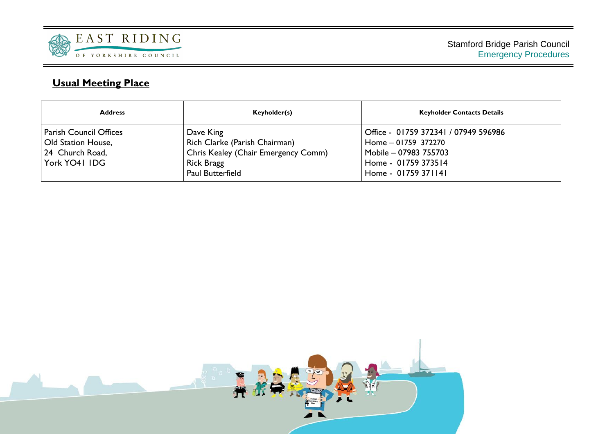

#### **Usual Meeting Place**

| <b>Address</b>                                                                          | Keyholder(s)                                                                                                        | <b>Keyholder Contacts Details</b>                                                                                                  |
|-----------------------------------------------------------------------------------------|---------------------------------------------------------------------------------------------------------------------|------------------------------------------------------------------------------------------------------------------------------------|
| <b>Parish Council Offices</b><br>Old Station House,<br>24 Church Road,<br>York YO41 IDG | Dave King<br>Rich Clarke (Parish Chairman)<br>Chris Kealey (Chair Emergency Comm)<br>Rick Bragg<br>Paul Butterfield | Office - 01759 372341 / 07949 596986<br>Home - 01759 372270<br>Mobile - 07983 755703<br>Home - 01759 373514<br>Home - 01759 371141 |

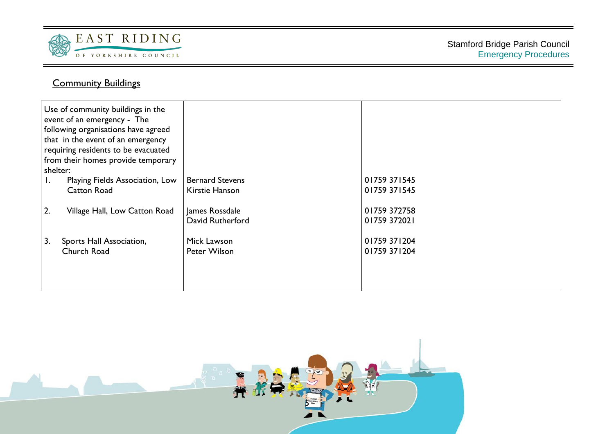

#### **Community Buildings**

| Use of community buildings in the<br>event of an emergency - The<br>following organisations have agreed<br>that in the event of an emergency<br>requiring residents to be evacuated<br>from their homes provide temporary<br>shelter: |                        |              |
|---------------------------------------------------------------------------------------------------------------------------------------------------------------------------------------------------------------------------------------|------------------------|--------------|
| Playing Fields Association, Low<br>Ι.                                                                                                                                                                                                 | <b>Bernard Stevens</b> | 01759 371545 |
| Catton Road                                                                                                                                                                                                                           | Kirstie Hanson         | 01759 371545 |
|                                                                                                                                                                                                                                       |                        |              |
| 2.<br>Village Hall, Low Catton Road                                                                                                                                                                                                   | James Rossdale         | 01759 372758 |
|                                                                                                                                                                                                                                       | David Rutherford       | 01759 372021 |
|                                                                                                                                                                                                                                       |                        |              |
| 3.<br>Sports Hall Association,                                                                                                                                                                                                        | Mick Lawson            | 01759 371204 |
| Church Road                                                                                                                                                                                                                           | Peter Wilson           | 01759 371204 |
|                                                                                                                                                                                                                                       |                        |              |
|                                                                                                                                                                                                                                       |                        |              |
|                                                                                                                                                                                                                                       |                        |              |
|                                                                                                                                                                                                                                       |                        |              |

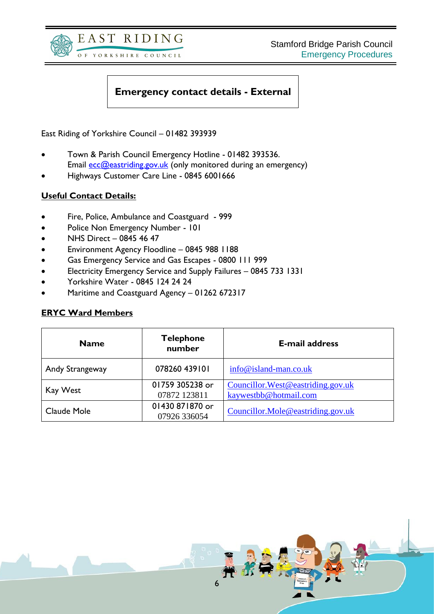



#### **Emergency contact details - External**

East Riding of Yorkshire Council – 01482 393939

- Town & Parish Council Emergency Hotline 01482 393536. Email **ecc@eastriding.gov.uk** (only monitored during an emergency)
- Highways Customer Care Line 0845 6001666

#### **Useful Contact Details:**

- Fire, Police, Ambulance and Coastguard 999
- Police Non Emergency Number 101
- NHS Direct 0845 46 47
- Environment Agency Floodline 0845 988 1188
- Gas Emergency Service and Gas Escapes 0800 111 999
- Electricity Emergency Service and Supply Failures 0845 733 1331
- Yorkshire Water 0845 124 24 24
- Maritime and Coastguard Agency 01262 672317

#### **ERYC Ward Members**

| <b>Name</b>                      | <b>Telephone</b><br>number      | <b>E-mail address</b>                                       |  |
|----------------------------------|---------------------------------|-------------------------------------------------------------|--|
| 078260 439101<br>Andy Strangeway |                                 | $info@island-man.co.uk$                                     |  |
| Kay West                         | 01759 305238 or<br>07872 123811 | Councillor. West@eastriding.gov.uk<br>kaywestbb@hotmail.com |  |
| Claude Mole                      | 01430 871870 or<br>07926 336054 | Councillor.Mole@eastriding.gov.uk                           |  |

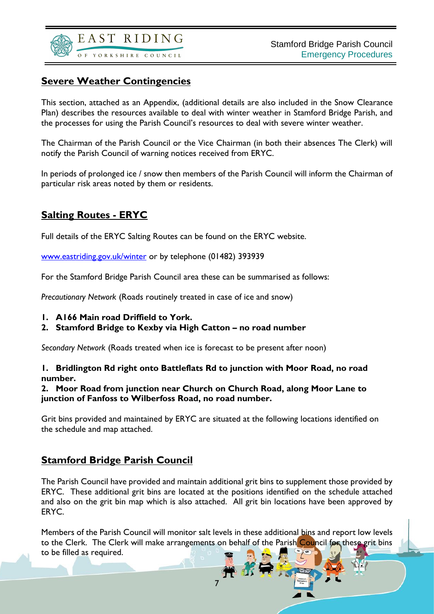

#### **Severe Weather Contingencies**

This section, attached as an Appendix, (additional details are also included in the Snow Clearance Plan) describes the resources available to deal with winter weather in Stamford Bridge Parish, and the processes for using the Parish Council's resources to deal with severe winter weather.

The Chairman of the Parish Council or the Vice Chairman (in both their absences The Clerk) will notify the Parish Council of warning notices received from ERYC.

In periods of prolonged ice / snow then members of the Parish Council will inform the Chairman of particular risk areas noted by them or residents.

#### **Salting Routes - ERYC**

Full details of the ERYC Salting Routes can be found on the ERYC website.

[www.eastriding.gov.uk/winter](http://www.eastriding.gov.uk/winter) or by telephone (01482) 393939

For the Stamford Bridge Parish Council area these can be summarised as follows:

*Precautionary Network* (Roads routinely treated in case of ice and snow)

- **1. A166 Main road Driffield to York.**
- **2. Stamford Bridge to Kexby via High Catton – no road number**

*Secondary Network* (Roads treated when ice is forecast to be present after noon)

#### **1. Bridlington Rd right onto Battleflats Rd to junction with Moor Road, no road number.**

#### **2. Moor Road from junction near Church on Church Road, along Moor Lane to junction of Fanfoss to Wilberfoss Road, no road number.**

Grit bins provided and maintained by ERYC are situated at the following locations identified on the schedule and map attached.

#### **Stamford Bridge Parish Council**

The Parish Council have provided and maintain additional grit bins to supplement those provided by ERYC. These additional grit bins are located at the positions identified on the schedule attached and also on the grit bin map which is also attached. All grit bin locations have been approved by ERYC.

Members of the Parish Council will monitor salt levels in these additional bins and report low levels to the Clerk. The Clerk will make arrangements on behalf of the Parish Council for these grit bins to be filled as required.

7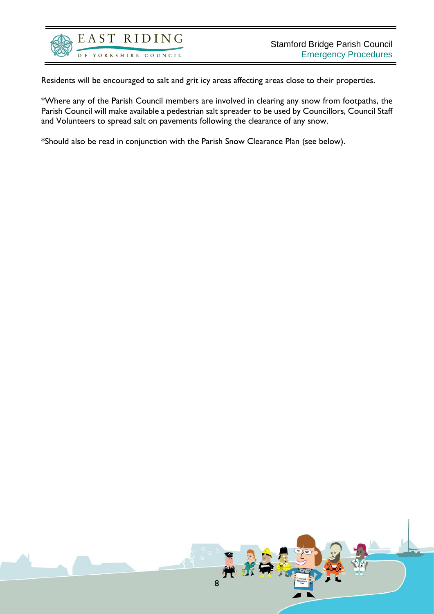

Residents will be encouraged to salt and grit icy areas affecting areas close to their properties.

\*Where any of the Parish Council members are involved in clearing any snow from footpaths, the Parish Council will make available a pedestrian salt spreader to be used by Councillors, Council Staff and Volunteers to spread salt on pavements following the clearance of any snow.

\*Should also be read in conjunction with the Parish Snow Clearance Plan (see below).

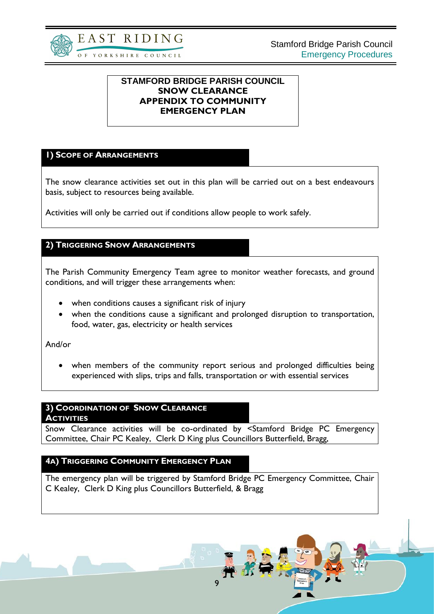

#### **STAMFORD BRIDGE PARISH COUNCIL SNOW CLEARANCE APPENDIX TO COMMUNITY EMERGENCY PLAN**

#### **1) SCOPE OF ARRANGEMENTS**

The snow clearance activities set out in this plan will be carried out on a best endeavours basis, subject to resources being available.

Activities will only be carried out if conditions allow people to work safely.

#### **2) TRIGGERING SNOW ARRANGEMENTS**

The Parish Community Emergency Team agree to monitor weather forecasts, and ground conditions, and will trigger these arrangements when:

- when conditions causes a significant risk of injury
- when the conditions cause a significant and prolonged disruption to transportation, food, water, gas, electricity or health services

And/or

• when members of the community report serious and prolonged difficulties being experienced with slips, trips and falls, transportation or with essential services

#### **3) COORDINATION OF SNOW CLEARANCE**

**ACTIVITIES** 

Snow Clearance activities will be co-ordinated by <Stamford Bridge PC Emergency Committee, Chair PC Kealey, Clerk D King plus Councillors Butterfield, Bragg,

#### **4A) TRIGGERING COMMUNITY EMERGENCY PLAN**

The emergency plan will be triggered by Stamford Bridge PC Emergency Committee, Chair C Kealey, Clerk D King plus Councillors Butterfield, & Bragg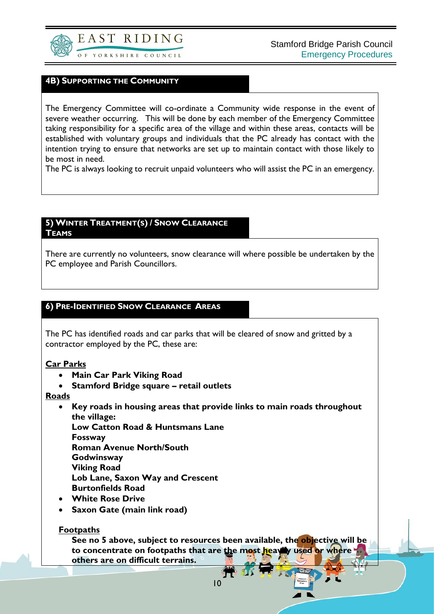

#### **4B) SUPPORTING THE COMMUNITY**

The Emergency Committee will co-ordinate a Community wide response in the event of severe weather occurring. This will be done by each member of the Emergency Committee taking responsibility for a specific area of the village and within these areas, contacts will be established with voluntary groups and individuals that the PC already has contact with the intention trying to ensure that networks are set up to maintain contact with those likely to be most in need.

The PC is always looking to recruit unpaid volunteers who will assist the PC in an emergency.

#### **5) WINTER TREATMENT(S) / SNOW CLEARANCE TEAMS**

There are currently no volunteers, snow clearance will where possible be undertaken by the PC employee and Parish Councillors.

#### **6) PRE-IDENTIFIED SNOW CLEARANCE AREAS**

The PC has identified roads and car parks that will be cleared of snow and gritted by a contractor employed by the PC, these are:

#### **Car Parks**

- **Main Car Park Viking Road**
- **Stamford Bridge square – retail outlets**

#### **Roads**

• **Key roads in housing areas that provide links to main roads throughout the village:**

**Low Catton Road & Huntsmans Lane**

**Fossway**

**Roman Avenue North/South**

- **Godwinsway**
- **Viking Road**

**Lob Lane, Saxon Way and Crescent**

- **Burtonfields Road**
- **White Rose Drive**
- **Saxon Gate (main link road)**

#### **Footpaths**

**See no 5 above, subject to resources been available, the objective will be to concentrate on footpaths that are the most heavily used or where others are on difficult terrains.**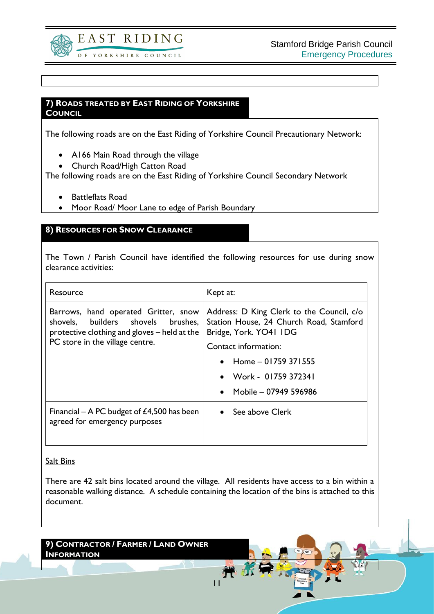

Stamford Bridge Parish Council Emergency Procedures

#### **7) ROADS TREATED BY EAST RIDING OF YORKSHIRE COUNCIL**

The following roads are on the East Riding of Yorkshire Council Precautionary Network:

- A166 Main Road through the village
- Church Road/High Catton Road

The following roads are on the East Riding of Yorkshire Council Secondary Network

- Battleflats Road
- Moor Road/ Moor Lane to edge of Parish Boundary

#### **8) RESOURCES FOR SNOW CLEARANCE**

The Town / Parish Council have identified the following resources for use during snow clearance activities:

| Resource                                                                                                                                                      | Kept at:                                                                                                       |  |
|---------------------------------------------------------------------------------------------------------------------------------------------------------------|----------------------------------------------------------------------------------------------------------------|--|
| Barrows, hand operated Gritter, snow<br>shovels, builders shovels brushes,<br>protective clothing and gloves – held at the<br>PC store in the village centre. | Address: D King Clerk to the Council, c/o<br>Station House, 24 Church Road, Stamford<br>Bridge, York. YO41 IDG |  |
|                                                                                                                                                               | Contact information:                                                                                           |  |
|                                                                                                                                                               | • Home $-$ 01759 371555                                                                                        |  |
|                                                                                                                                                               | • Work - 01759 372341                                                                                          |  |
|                                                                                                                                                               | • Mobile $-07949596986$                                                                                        |  |
| Financial – A PC budget of $£4,500$ has been<br>agreed for emergency purposes                                                                                 | $\bullet$ See above Clerk                                                                                      |  |

#### Salt Bins

There are 42 salt bins located around the village. All residents have access to a bin within a reasonable walking distance. A schedule containing the location of the bins is attached to this document.

11

#### **9) CONTRACTOR / FARMER / LAND OWNER INFORMATION**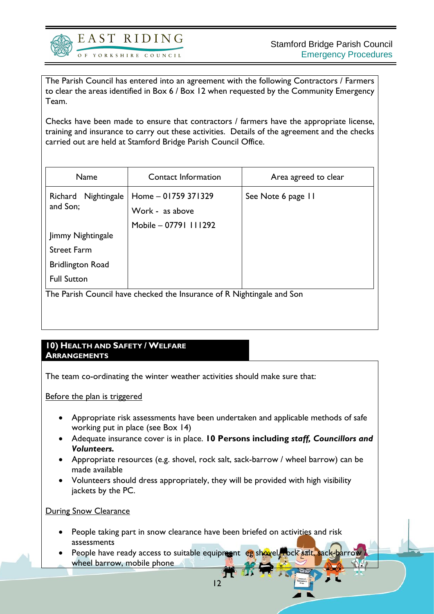

The Parish Council has entered into an agreement with the following Contractors / Farmers to clear the areas identified in Box 6 / Box 12 when requested by the Community Emergency Team.

Checks have been made to ensure that contractors / farmers have the appropriate license, training and insurance to carry out these activities. Details of the agreement and the checks carried out are held at Stamford Bridge Parish Council Office.

| Name                                                                   | <b>Contact Information</b> | Area agreed to clear |  |
|------------------------------------------------------------------------|----------------------------|----------------------|--|
| Nightingale<br>Richard<br>and Son;                                     | Home - 01759 371329        | See Note 6 page 11   |  |
|                                                                        | Work - as above            |                      |  |
|                                                                        | Mobile - 07791 111292      |                      |  |
| Jimmy Nightingale                                                      |                            |                      |  |
| <b>Street Farm</b>                                                     |                            |                      |  |
| <b>Bridlington Road</b>                                                |                            |                      |  |
| <b>Full Sutton</b>                                                     |                            |                      |  |
| The Parish Council have checked the Insurance of R Nightingale and Son |                            |                      |  |
|                                                                        |                            |                      |  |
|                                                                        |                            |                      |  |

#### **10) HEALTH AND SAFETY / WELFARE ARRANGEMENTS**

The team co-ordinating the winter weather activities should make sure that:

Before the plan is triggered

- Appropriate risk assessments have been undertaken and applicable methods of safe working put in place (see Box 14)
- Adequate insurance cover is in place. **10 Persons including** *staff, Councillors and Volunteers.*
- Appropriate resources (e.g. shovel, rock salt, sack-barrow / wheel barrow) can be made available
- Volunteers should dress appropriately, they will be provided with high visibility jackets by the PC.

**During Snow Clearance** 

- People taking part in snow clearance have been briefed on activities and risk assessments
- People have ready access to suitable equipment eg shovel, bock salt, sack-barrow wheel barrow, mobile phone

12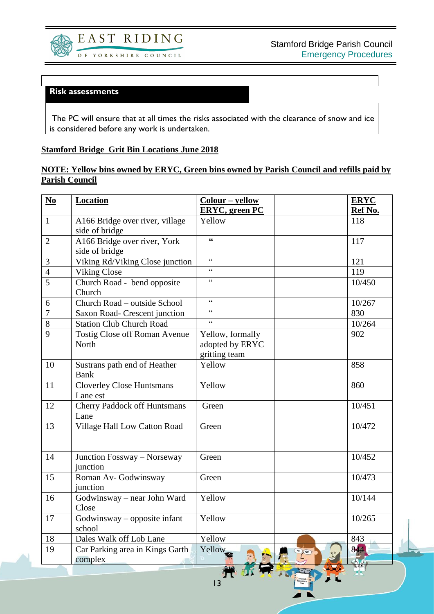

#### **Risk assessments**

The PC will ensure that at all times the risks associated with the clearance of snow and ice is considered before any work is undertaken.

#### **Stamford Bridge Grit Bin Locations June 2018**

#### **NOTE: Yellow bins owned by ERYC, Green bins owned by Parish Council and refills paid by Parish Council**

| $No$           | <b>Location</b>                     | $Color - yellow$                           |               | <b>ERYC</b> |
|----------------|-------------------------------------|--------------------------------------------|---------------|-------------|
|                |                                     | <b>ERYC</b> , green PC                     |               | Ref No.     |
| $\mathbf{1}$   | A166 Bridge over river, village     | Yellow                                     |               | 118         |
|                | side of bridge                      |                                            |               |             |
| $\overline{2}$ | A166 Bridge over river, York        | $\mathbf{G}$                               |               | 117         |
|                | side of bridge                      |                                            |               |             |
| 3              | Viking Rd/Viking Close junction     | $\boldsymbol{\zeta} \, \boldsymbol{\zeta}$ |               | 121         |
| $\overline{4}$ | <b>Viking Close</b>                 | $\epsilon$                                 |               | 119         |
| $\overline{5}$ | Church Road - bend opposite         | $\epsilon$                                 |               | 10/450      |
|                | Church                              |                                            |               |             |
| 6              | Church Road - outside School        | $\epsilon$                                 |               | 10/267      |
| $\overline{7}$ | Saxon Road- Crescent junction       | $\zeta$ $\zeta$                            |               | 830         |
| 8              | <b>Station Club Church Road</b>     | $\epsilon$                                 |               | 10/264      |
| 9              | Tostig Close off Roman Avenue       | Yellow, formally                           |               | 902         |
|                | North                               | adopted by ERYC                            |               |             |
|                |                                     | gritting team                              |               |             |
| 10             | Sustrans path end of Heather        | Yellow                                     |               | 858         |
|                | <b>Bank</b>                         |                                            |               |             |
| 11             | <b>Cloverley Close Huntsmans</b>    | Yellow                                     |               | 860         |
|                | Lane est                            |                                            |               |             |
| 12             | <b>Cherry Paddock off Huntsmans</b> | Green                                      |               | 10/451      |
|                | Lane                                |                                            |               |             |
| 13             | Village Hall Low Catton Road        | Green                                      |               | 10/472      |
|                |                                     |                                            |               |             |
|                |                                     |                                            |               |             |
| 14             | Junction Fossway - Norseway         | Green                                      |               | 10/452      |
|                | junction                            |                                            |               |             |
| 15             | Roman Av- Godwinsway                | Green                                      |               | 10/473      |
|                | junction                            |                                            |               |             |
| 16             | Godwinsway - near John Ward         | Yellow                                     |               | 10/144      |
|                | Close                               |                                            |               |             |
| 17             | $Godwinsway - opposite infant$      | Yellow                                     |               | 10/265      |
|                | school                              |                                            |               |             |
| 18             | Dales Walk off Lob Lane             | Yellow                                     |               | 843         |
| 19             | Car Parking area in Kings Garth     | Yellow                                     |               | 844         |
|                | complex                             |                                            | $\frac{1}{2}$ |             |
|                |                                     |                                            | $\sqrt{M}$    |             |

13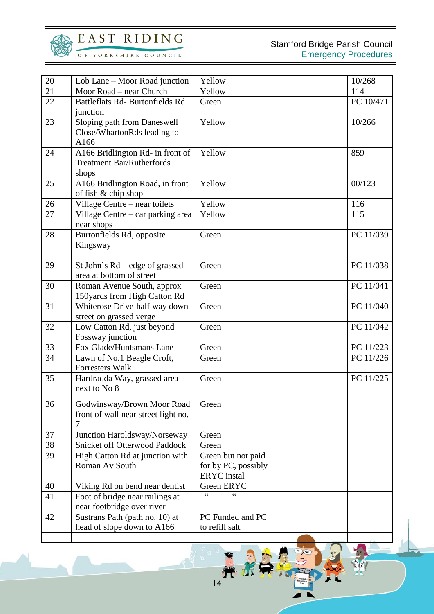

### EAST RIDING

OF YORKSHIRE COUNCIL

| 20 | Lob Lane – Moor Road junction                                                 | Yellow                                                          | 10/268    |
|----|-------------------------------------------------------------------------------|-----------------------------------------------------------------|-----------|
| 21 | Moor Road – near Church                                                       | Yellow                                                          | 114       |
| 22 | Battleflats Rd- Burtonfields Rd<br>junction                                   | Green                                                           | PC 10/471 |
| 23 | Sloping path from Daneswell<br>Close/WhartonRds leading to<br>A166            | Yellow                                                          | 10/266    |
| 24 | A166 Bridlington Rd- in front of<br><b>Treatment Bar/Rutherfords</b><br>shops | Yellow                                                          | 859       |
| 25 | A166 Bridlington Road, in front<br>of fish & chip shop                        | Yellow                                                          | 00/123    |
| 26 | Village Centre - near toilets                                                 | Yellow                                                          | 116       |
| 27 | Village Centre – car parking area<br>near shops                               | Yellow                                                          | 115       |
| 28 | Burtonfields Rd, opposite<br>Kingsway                                         | Green                                                           | PC 11/039 |
| 29 | St John's Rd – edge of grassed<br>area at bottom of street                    | Green                                                           | PC 11/038 |
| 30 | Roman Avenue South, approx<br>150yards from High Catton Rd                    | Green                                                           | PC 11/041 |
| 31 | Whiterose Drive-half way down<br>street on grassed verge                      | Green                                                           | PC 11/040 |
| 32 | Low Catton Rd, just beyond<br>Fossway junction                                | Green                                                           | PC 11/042 |
| 33 | Fox Glade/Huntsmans Lane                                                      | Green                                                           | PC 11/223 |
| 34 | Lawn of No.1 Beagle Croft,<br><b>Forresters Walk</b>                          | Green                                                           | PC 11/226 |
| 35 | Hardradda Way, grassed area<br>next to No 8                                   | Green                                                           | PC 11/225 |
| 36 | Godwinsway/Brown Moor Road<br>front of wall near street light no.             | Green                                                           |           |
| 37 | Junction Haroldsway/Norseway                                                  | Green                                                           |           |
| 38 | <b>Snicket off Otterwood Paddock</b>                                          | Green                                                           |           |
| 39 | High Catton Rd at junction with<br>Roman Av South                             | Green but not paid<br>for by PC, possibly<br><b>ERYC</b> instal |           |
| 40 | Viking Rd on bend near dentist                                                | Green ERYC                                                      |           |
| 41 | Foot of bridge near railings at<br>near footbridge over river                 |                                                                 |           |
| 42 | Sustrans Path (path no. 10) at<br>head of slope down to A166                  | PC Funded and PC<br>to refill salt                              |           |
|    |                                                                               |                                                                 |           |

Ħ

 $\frac{1}{2}$